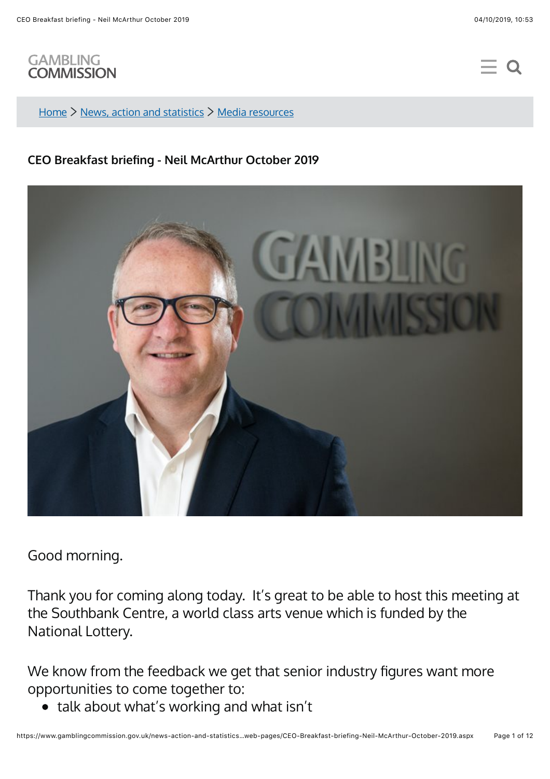

[Home](https://www.gamblingcommission.gov.uk/)  $\geq$  [News, action and statistics](https://www.gamblingcommission.gov.uk/news-action-and-statistics/)  $\geq$  [Media resources](https://www.gamblingcommission.gov.uk/news-action-and-statistics/Media-resources/)

## **CEO Breakfast briefing - Neil McArthur October 2019**



Good morning.

Thank you for coming along today. It's great to be able to host this meeting at the Southbank Centre, a world class arts venue which is funded by the National Lottery.

We know from the feedback we get that senior industry figures want more opportunities to come together to:

• talk about what's working and what isn't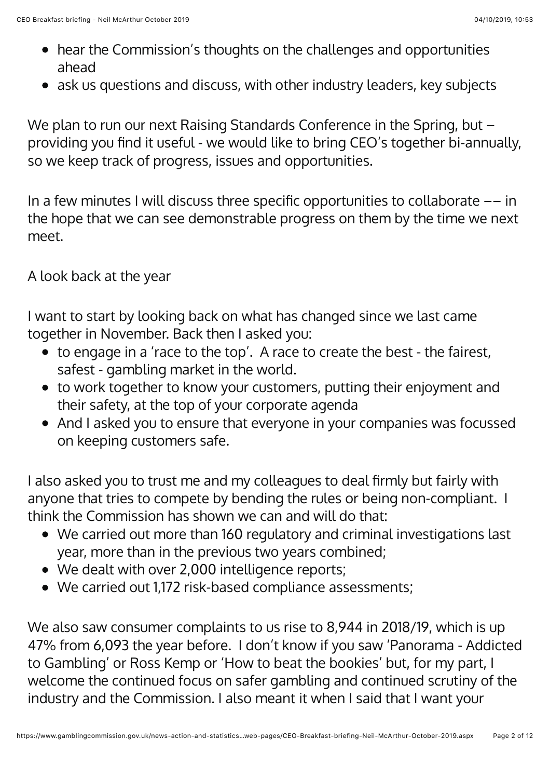- hear the Commission's thoughts on the challenges and opportunities ahead
- ask us questions and discuss, with other industry leaders, key subjects

We plan to run our next Raising Standards Conference in the Spring, but providing you find it useful - we would like to bring CEO's together bi-annually, so we keep track of progress, issues and opportunities.

In a few minutes I will discuss three specific opportunities to collaborate  $--$  in the hope that we can see demonstrable progress on them by the time we next meet.

A look back at the year

I want to start by looking back on what has changed since we last came together in November. Back then I asked you:

- $\bullet$  to engage in a 'race to the top'. A race to create the best the fairest, safest - gambling market in the world.
- to work together to know your customers, putting their enjoyment and their safety, at the top of your corporate agenda
- And I asked you to ensure that everyone in your companies was focussed on keeping customers safe.

I also asked you to trust me and my colleagues to deal firmly but fairly with anyone that tries to compete by bending the rules or being non-compliant. I think the Commission has shown we can and will do that:

- We carried out more than 160 regulatory and criminal investigations last year, more than in the previous two years combined;
- We dealt with over 2,000 intelligence reports;
- We carried out 1,172 risk-based compliance assessments;

We also saw consumer complaints to us rise to 8,944 in 2018/19, which is up 47% from 6,093 the year before. I don't know if you saw 'Panorama - Addicted to Gambling' or Ross Kemp or 'How to beat the bookies' but, for my part, I welcome the continued focus on safer gambling and continued scrutiny of the industry and the Commission. I also meant it when I said that I want your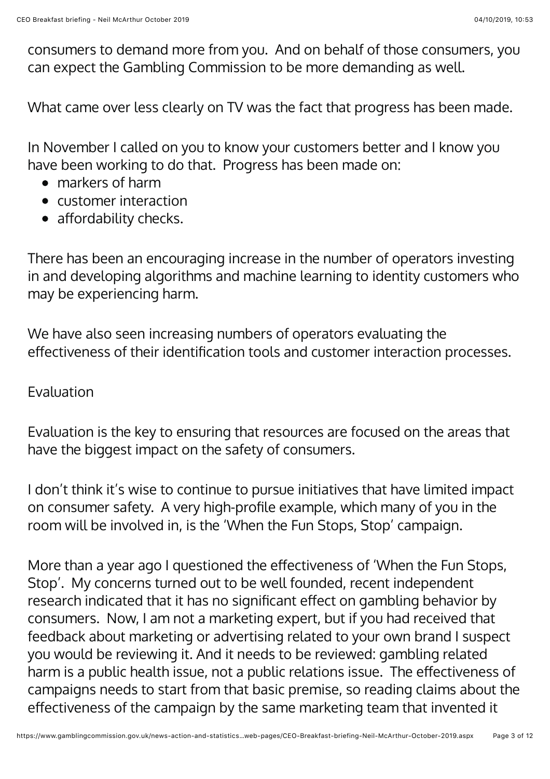consumers to demand more from you. And on behalf of those consumers, you can expect the Gambling Commission to be more demanding as well.

What came over less clearly on TV was the fact that progress has been made.

In November I called on you to know your customers better and I know you have been working to do that. Progress has been made on:

- markers of harm
- customer interaction
- $\bullet$  affordability checks.

There has been an encouraging increase in the number of operators investing in and developing algorithms and machine learning to identity customers who may be experiencing harm.

We have also seen increasing numbers of operators evaluating the effectiveness of their identification tools and customer interaction processes.

## Evaluation

Evaluation is the key to ensuring that resources are focused on the areas that have the biggest impact on the safety of consumers.

I don't think it's wise to continue to pursue initiatives that have limited impact on consumer safety. A very high-profile example, which many of you in the room will be involved in, is the 'When the Fun Stops, Stop' campaign.

More than a year ago I questioned the effectiveness of 'When the Fun Stops, Stop'. My concerns turned out to be well founded, recent independent research indicated that it has no significant effect on gambling behavior by consumers. Now, I am not a marketing expert, but if you had received that feedback about marketing or advertising related to your own brand I suspect you would be reviewing it. And it needs to be reviewed: gambling related harm is a public health issue, not a public relations issue. The effectiveness of campaigns needs to start from that basic premise, so reading claims about the effectiveness of the campaign by the same marketing team that invented it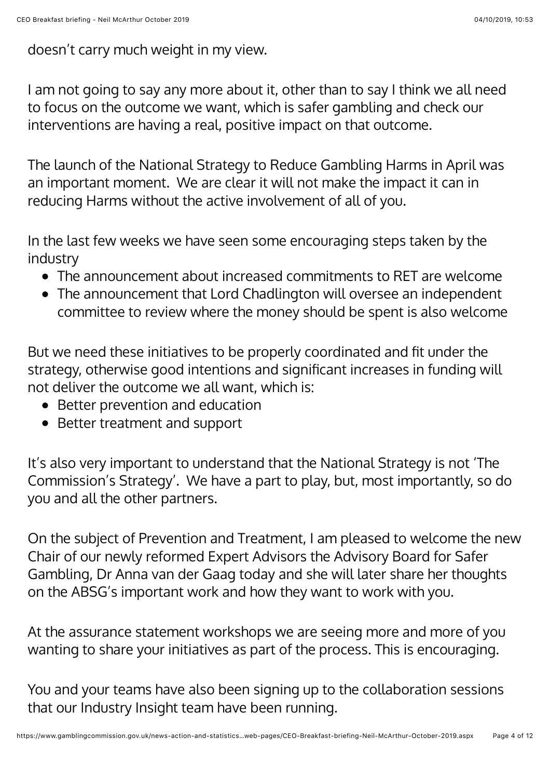doesn't carry much weight in my view.

I am not going to say any more about it, other than to say I think we all need to focus on the outcome we want, which is safer gambling and check our interventions are having a real, positive impact on that outcome.

The launch of the National Strategy to Reduce Gambling Harms in April was an important moment. We are clear it will not make the impact it can in reducing Harms without the active involvement of all of you.

In the last few weeks we have seen some encouraging steps taken by the industry

- The announcement about increased commitments to RET are welcome
- The announcement that Lord Chadlington will oversee an independent committee to review where the money should be spent is also welcome

But we need these initiatives to be properly coordinated and fit under the strategy, otherwise good intentions and significant increases in funding will not deliver the outcome we all want, which is:

- Better prevention and education
- Better treatment and support

It's also very important to understand that the National Strategy is not 'The Commission's Strategy'. We have a part to play, but, most importantly, so do you and all the other partners.

On the subject of Prevention and Treatment, I am pleased to welcome the new Chair of our newly reformed Expert Advisors the Advisory Board for Safer Gambling, Dr Anna van der Gaag today and she will later share her thoughts on the ABSG's important work and how they want to work with you.

At the assurance statement workshops we are seeing more and more of you wanting to share your initiatives as part of the process. This is encouraging.

You and your teams have also been signing up to the collaboration sessions that our Industry Insight team have been running.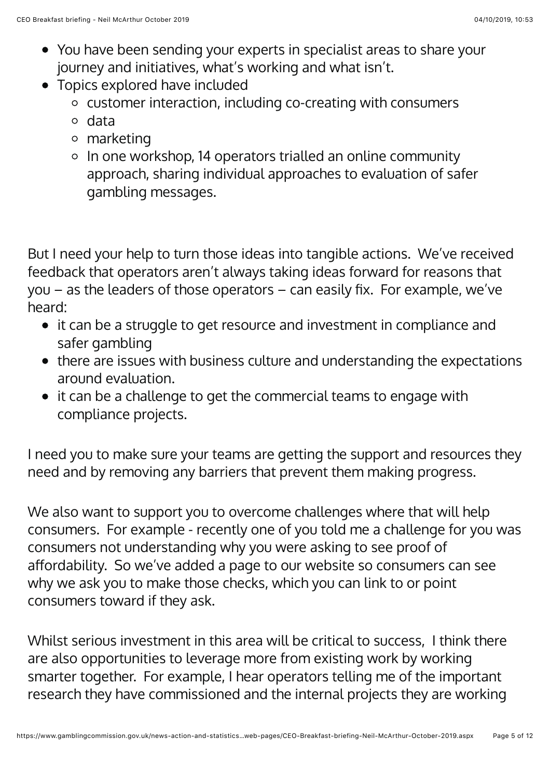- You have been sending your experts in specialist areas to share your journey and initiatives, what's working and what isn't.
- Topics explored have included
	- customer interaction, including co-creating with consumers
	- o data
	- marketing
	- o In one workshop, 14 operators trialled an online community approach, sharing individual approaches to evaluation of safer gambling messages.

But I need your help to turn those ideas into tangible actions. We've received feedback that operators aren't always taking ideas forward for reasons that you – as the leaders of those operators – can easily fix. For example, we've heard:

- it can be a struggle to get resource and investment in compliance and safer gambling
- there are issues with business culture and understanding the expectations around evaluation.
- it can be a challenge to get the commercial teams to engage with compliance projects.

I need you to make sure your teams are getting the support and resources they need and by removing any barriers that prevent them making progress.

We also want to support you to overcome challenges where that will help consumers. For example - recently one of you told me a challenge for you was consumers not understanding why you were asking to see proof of affordability. So we've added a page to our website so consumers can see why we ask you to make those checks, which you can link to or point consumers toward if they ask.

Whilst serious investment in this area will be critical to success, I think there are also opportunities to leverage more from existing work by working smarter together. For example, I hear operators telling me of the important research they have commissioned and the internal projects they are working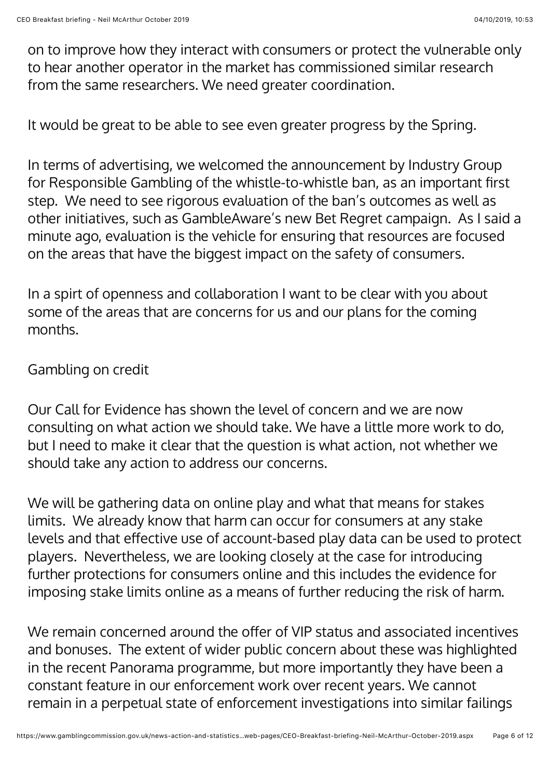on to improve how they interact with consumers or protect the vulnerable only to hear another operator in the market has commissioned similar research from the same researchers. We need greater coordination.

It would be great to be able to see even greater progress by the Spring.

In terms of advertising, we welcomed the announcement by Industry Group for Responsible Gambling of the whistle-to-whistle ban, as an important first step. We need to see rigorous evaluation of the ban's outcomes as well as other initiatives, such as GambleAware's new Bet Regret campaign. As I said a minute ago, evaluation is the vehicle for ensuring that resources are focused on the areas that have the biggest impact on the safety of consumers.

In a spirt of openness and collaboration I want to be clear with you about some of the areas that are concerns for us and our plans for the coming months.

## Gambling on credit

Our Call for Evidence has shown the level of concern and we are now consulting on what action we should take. We have a little more work to do, but I need to make it clear that the question is what action, not whether we should take any action to address our concerns.

We will be gathering data on online play and what that means for stakes limits. We already know that harm can occur for consumers at any stake levels and that effective use of account-based play data can be used to protect players. Nevertheless, we are looking closely at the case for introducing further protections for consumers online and this includes the evidence for imposing stake limits online as a means of further reducing the risk of harm.

We remain concerned around the offer of VIP status and associated incentives and bonuses. The extent of wider public concern about these was highlighted in the recent Panorama programme, but more importantly they have been a constant feature in our enforcement work over recent years. We cannot remain in a perpetual state of enforcement investigations into similar failings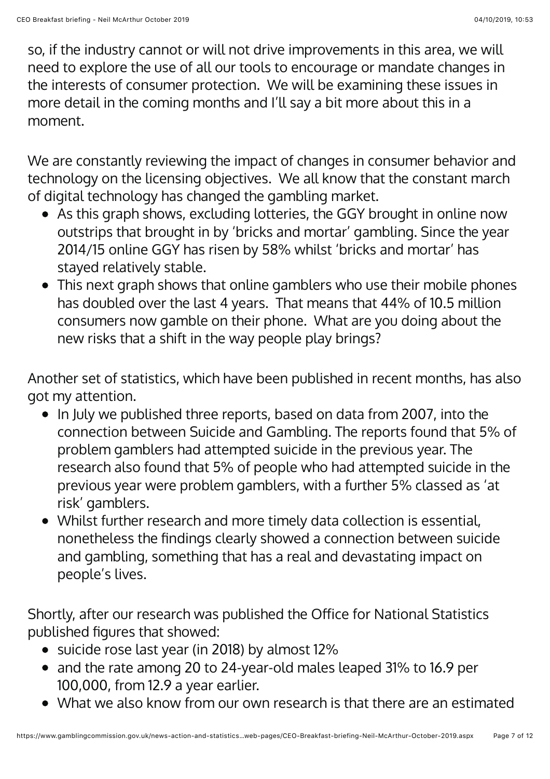so, if the industry cannot or will not drive improvements in this area, we will need to explore the use of all our tools to encourage or mandate changes in the interests of consumer protection. We will be examining these issues in more detail in the coming months and I'll say a bit more about this in a moment.

We are constantly reviewing the impact of changes in consumer behavior and technology on the licensing objectives. We all know that the constant march of digital technology has changed the gambling market.

- As this graph shows, excluding lotteries, the GGY brought in online now outstrips that brought in by 'bricks and mortar' gambling. Since the year 2014/15 online GGY has risen by 58% whilst 'bricks and mortar' has stayed relatively stable.
- This next graph shows that online gamblers who use their mobile phones has doubled over the last 4 years. That means that 44% of 10.5 million consumers now gamble on their phone. What are you doing about the new risks that a shift in the way people play brings?

Another set of statistics, which have been published in recent months, has also got my attention.

- In July we published three reports, based on data from 2007, into the connection between Suicide and Gambling. The reports found that 5% of problem gamblers had attempted suicide in the previous year. The research also found that 5% of people who had attempted suicide in the previous year were problem gamblers, with a further 5% classed as 'at risk' gamblers.
- Whilst further research and more timely data collection is essential, nonetheless the findings clearly showed a connection between suicide and gambling, something that has a real and devastating impact on people's lives.

Shortly, after our research was published the Office for National Statistics published figures that showed:

- suicide rose last year (in 2018) by almost 12%
- and the rate among 20 to 24-year-old males leaped 31% to 16.9 per 100,000, from 12.9 a year earlier.
- What we also know from our own research is that there are an estimated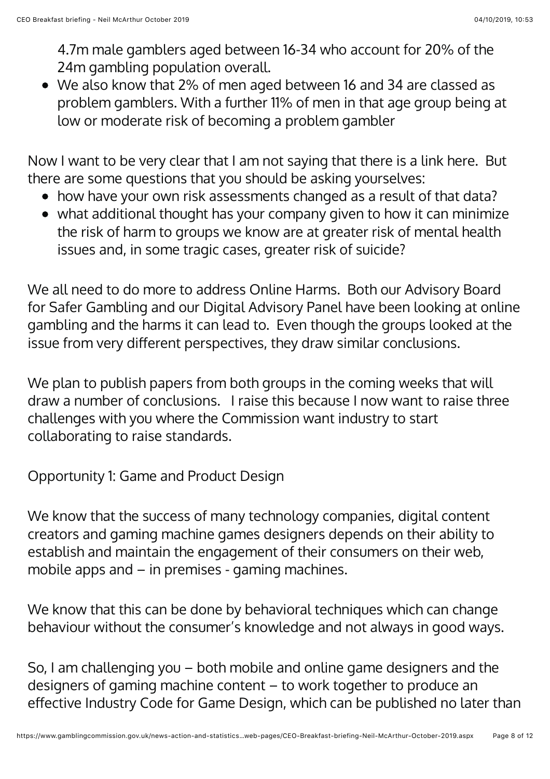4.7m male gamblers aged between 16-34 who account for 20% of the 24m gambling population overall.

We also know that 2% of men aged between 16 and 34 are classed as problem gamblers. With a further 11% of men in that age group being at low or moderate risk of becoming a problem gambler

Now I want to be very clear that I am not saying that there is a link here. But there are some questions that you should be asking yourselves:

- how have your own risk assessments changed as a result of that data?
- what additional thought has your company given to how it can minimize the risk of harm to groups we know are at greater risk of mental health issues and, in some tragic cases, greater risk of suicide?

We all need to do more to address Online Harms. Both our Advisory Board for Safer Gambling and our Digital Advisory Panel have been looking at online gambling and the harms it can lead to. Even though the groups looked at the issue from very different perspectives, they draw similar conclusions.

We plan to publish papers from both groups in the coming weeks that will draw a number of conclusions. I raise this because I now want to raise three challenges with you where the Commission want industry to start collaborating to raise standards.

Opportunity 1: Game and Product Design

We know that the success of many technology companies, digital content creators and gaming machine games designers depends on their ability to establish and maintain the engagement of their consumers on their web, mobile apps and – in premises - gaming machines.

We know that this can be done by behavioral techniques which can change behaviour without the consumer's knowledge and not always in good ways.

So, I am challenging you – both mobile and online game designers and the designers of gaming machine content – to work together to produce an effective Industry Code for Game Design, which can be published no later than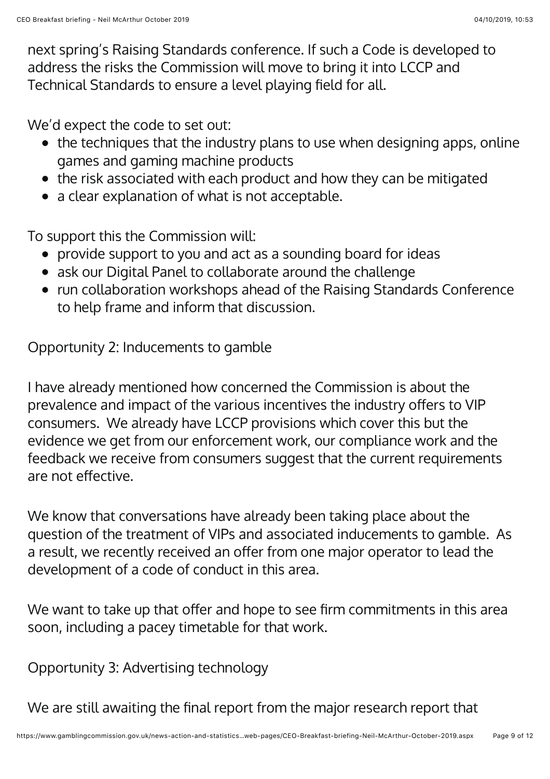next spring's Raising Standards conference. If such a Code is developed to address the risks the Commission will move to bring it into LCCP and Technical Standards to ensure a level playing field for all.

We'd expect the code to set out:

- the techniques that the industry plans to use when designing apps, online games and gaming machine products
- the risk associated with each product and how they can be mitigated
- a clear explanation of what is not acceptable.

To support this the Commission will:

- provide support to you and act as a sounding board for ideas
- ask our Digital Panel to collaborate around the challenge
- run collaboration workshops ahead of the Raising Standards Conference to help frame and inform that discussion.

Opportunity 2: Inducements to gamble

I have already mentioned how concerned the Commission is about the prevalence and impact of the various incentives the industry offers to VIP consumers. We already have LCCP provisions which cover this but the evidence we get from our enforcement work, our compliance work and the feedback we receive from consumers suggest that the current requirements are not effective.

We know that conversations have already been taking place about the question of the treatment of VIPs and associated inducements to gamble. As a result, we recently received an offer from one major operator to lead the development of a code of conduct in this area.

We want to take up that offer and hope to see firm commitments in this area soon, including a pacey timetable for that work.

Opportunity 3: Advertising technology

We are still awaiting the final report from the major research report that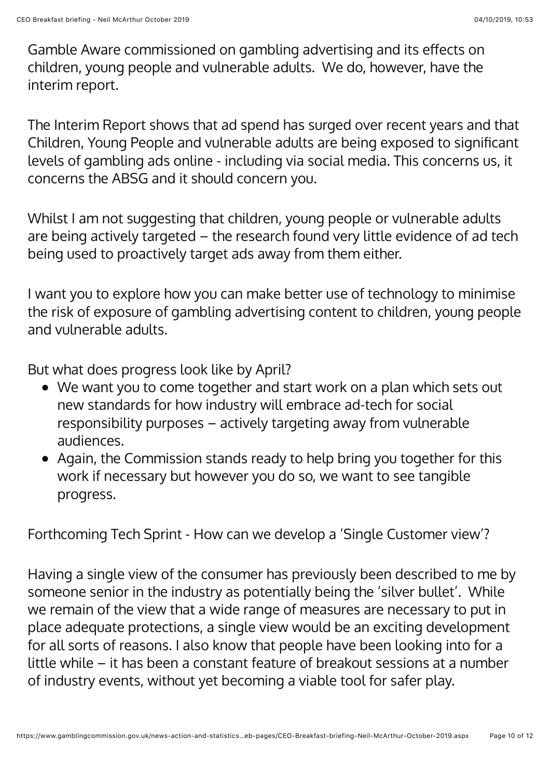Gamble Aware commissioned on gambling advertising and its effects on children, young people and vulnerable adults. We do, however, have the interim report.

The Interim Report shows that ad spend has surged over recent years and that Children, Young People and vulnerable adults are being exposed to significant levels of gambling ads online - including via social media. This concerns us, it concerns the ABSG and it should concern you.

Whilst I am not suggesting that children, young people or vulnerable adults are being actively targeted  $-$  the research found very little evidence of ad tech being used to proactively target ads away from them either.

I want you to explore how you can make better use of technology to minimise the risk of exposure of gambling advertising content to children, young people and vulnerable adults.

But what does progress look like by April?

- We want you to come together and start work on a plan which sets out new standards for how industry will embrace ad-tech for social responsibility purposes – actively targeting away from vulnerable audiences.
- Again, the Commission stands ready to help bring you together for this work if necessary but however you do so, we want to see tangible progress.

Forthcoming Tech Sprint - How can we develop a 'Single Customer view'?

Having a single view of the consumer has previously been described to me by someone senior in the industry as potentially being the 'silver bullet'. While we remain of the view that a wide range of measures are necessary to put in place adequate protections, a single view would be an exciting development for all sorts of reasons. I also know that people have been looking into for a little while – it has been a constant feature of breakout sessions at a number of industry events, without yet becoming a viable tool for safer play.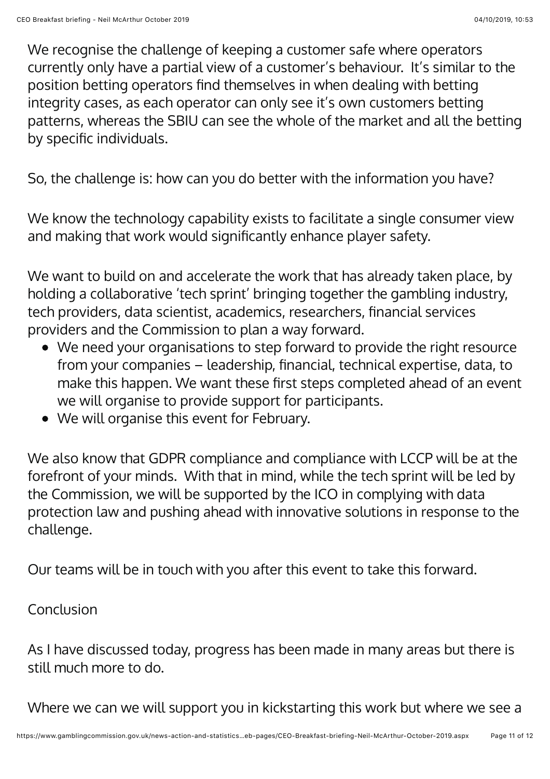We recognise the challenge of keeping a customer safe where operators currently only have a partial view of a customer's behaviour. It's similar to the position betting operators find themselves in when dealing with betting integrity cases, as each operator can only see it's own customers betting patterns, whereas the SBIU can see the whole of the market and all the betting by specific individuals.

So, the challenge is: how can you do better with the information you have?

We know the technology capability exists to facilitate a single consumer view and making that work would significantly enhance player safety.

We want to build on and accelerate the work that has already taken place, by holding a collaborative 'tech sprint' bringing together the gambling industry, tech providers, data scientist, academics, researchers, financial services providers and the Commission to plan a way forward.

- We need your organisations to step forward to provide the right resource from your companies – leadership, financial, technical expertise, data, to make this happen. We want these first steps completed ahead of an event we will organise to provide support for participants.
- We will organise this event for February.

We also know that GDPR compliance and compliance with LCCP will be at the forefront of your minds. With that in mind, while the tech sprint will be led by the Commission, we will be supported by the ICO in complying with data protection law and pushing ahead with innovative solutions in response to the challenge.

Our teams will be in touch with you after this event to take this forward.

## Conclusion

As I have discussed today, progress has been made in many areas but there is still much more to do.

Where we can we will support you in kickstarting this work but where we see a